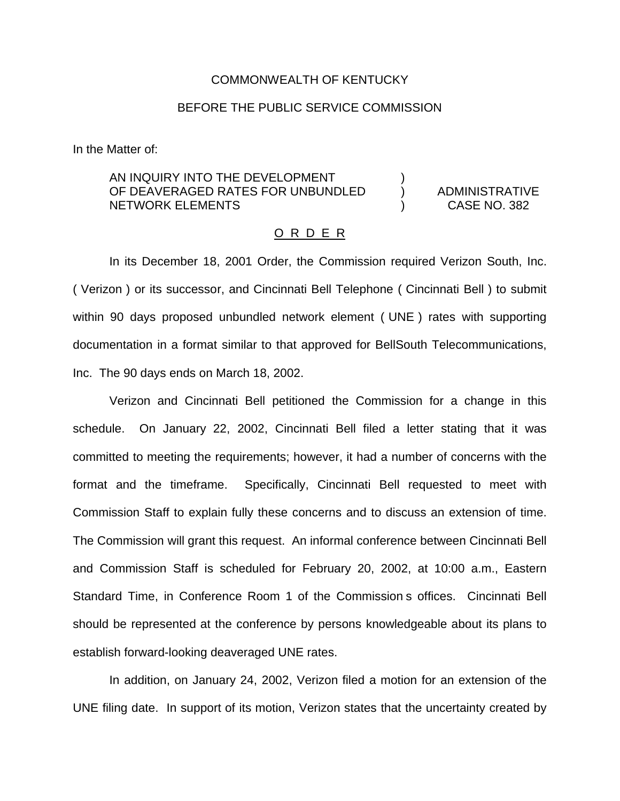## COMMONWEALTH OF KENTUCKY

## BEFORE THE PUBLIC SERVICE COMMISSION

In the Matter of:

## AN INQUIRY INTO THE DEVELOPMENT OF DEAVERAGED RATES FOR UNBUNDLED ) ADMINISTRATIVE NETWORK ELEMENTS ) CASE NO. 382

## O R D E R

In its December 18, 2001 Order, the Commission required Verizon South, Inc. ( Verizon ) or its successor, and Cincinnati Bell Telephone ( Cincinnati Bell ) to submit within 90 days proposed unbundled network element ( UNE ) rates with supporting documentation in a format similar to that approved for BellSouth Telecommunications, Inc. The 90 days ends on March 18, 2002.

Verizon and Cincinnati Bell petitioned the Commission for a change in this schedule. On January 22, 2002, Cincinnati Bell filed a letter stating that it was committed to meeting the requirements; however, it had a number of concerns with the format and the timeframe. Specifically, Cincinnati Bell requested to meet with Commission Staff to explain fully these concerns and to discuss an extension of time. The Commission will grant this request. An informal conference between Cincinnati Bell and Commission Staff is scheduled for February 20, 2002, at 10:00 a.m., Eastern Standard Time, in Conference Room 1 of the Commission s offices. Cincinnati Bell should be represented at the conference by persons knowledgeable about its plans to establish forward-looking deaveraged UNE rates.

In addition, on January 24, 2002, Verizon filed a motion for an extension of the UNE filing date. In support of its motion, Verizon states that the uncertainty created by